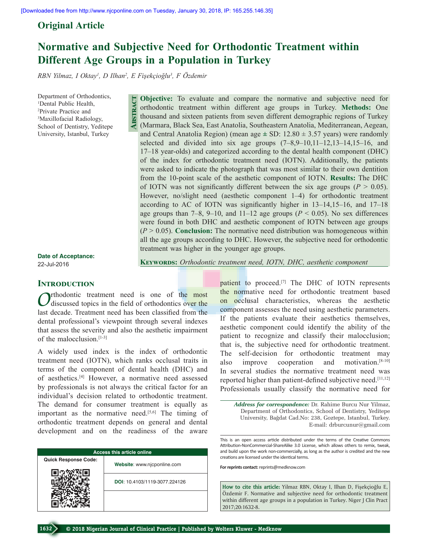# **Original Article**

# **Normative and Subjective Need for Orthodontic Treatment within Different Age Groups in a Population in Turkey**

*RBN Yilmaz, I Oktay1 , D Ilhan2 , E Fişekçioğlu<sup>3</sup> , F Özdemir*

**Abstract**

Department of Orthodontics, 1 Dental Public Health, 2 Private Practice and 3 Maxillofacial Radiology, School of Dentistry, Yeditepe University, Istanbul, Turkey

**Objective:** To evaluate and compare the normative and subjective need for orthodontic treatment within different age groups in Turkey. **Methods:** One thousand and sixteen patients from seven different demographic regions of Turkey (Marmara, Black Sea, East Anatolia, Southeastern Anatolia, Mediterranean, Aegean, and Central Anatolia Region) (mean age **±** SD: 12.80 ± 3.57 years) were randomly selected and divided into six age groups  $(7-8,9-10,11-12,13-14,15-16,$  and 17–18 year-olds) and categorized according to the dental health component (DHC) of the index for orthodontic treatment need (IOTN). Additionally, the patients were asked to indicate the photograph that was most similar to their own dentition from the 10-point scale of the aesthetic component of IOTN. **Results:** The DHC of IOTN was not significantly different between the six age groups ( $P > 0.05$ ). However, no/slight need (aesthetic component 1–4) for orthodontic treatment according to AC of IOTN was significantly higher in 13–14,15–16, and 17–18 age groups than  $7-8$ ,  $9-10$ , and  $11-12$  age groups ( $P < 0.05$ ). No sex differences were found in both DHC and aesthetic component of IOTN between age groups (*P* > 0.05). **Conclusion:** The normative need distribution was homogeneous within all the age groups according to DHC. However, the subjective need for orthodontic treatment was higher in the younger age groups.

**Date of Acceptance:** 22-Jul-2016

#### **Introduction**

*rthodontic* treatment need is one of the most discussed topics in the field of orthodontics over the last decade. Treatment need has been classified from the dental professional's viewpoint through several indexes that assess the severity and also the aesthetic impairment of the malocclusion.[1-3]

A widely used index is the index of orthodontic treatment need (IOTN), which ranks occlusal traits in terms of the component of dental health (DHC) and of aesthetics.[4] However, a normative need assessed by professionals is not always the critical factor for an individual's decision related to orthodontic treatment. The demand for consumer treatment is equally as important as the normative need.<sup>[5,6]</sup> The timing of orthodontic treatment depends on general and dental development and on the readiness of the aware

| <b>Access this article online</b> |                               |  |  |  |  |
|-----------------------------------|-------------------------------|--|--|--|--|
| <b>Quick Response Code:</b>       | Website: www.njcponline.com   |  |  |  |  |
|                                   | DOI: 10.4103/1119-3077.224126 |  |  |  |  |
|                                   |                               |  |  |  |  |

**Keywords:** *Orthodontic treatment need, IOTN, DHC, aesthetic component* 

patient to proceed.<sup>[7]</sup> The DHC of IOTN represents the normative need for orthodontic treatment based on occlusal characteristics, whereas the aesthetic component assesses the need using aesthetic parameters. If the patients evaluate their aesthetics themselves, aesthetic component could identify the ability of the patient to recognize and classify their malocclusion; that is, the subjective need for orthodontic treatment. The self-decision for orthodontic treatment may also improve cooperation and motivation.<sup>[8-10]</sup> In several studies the normative treatment need was reported higher than patient-defined subjective need.<sup>[11,12]</sup> Professionals usually classify the normative need for

*Address for correspondence:* Dr. Rahime Burcu Nur Yilmaz, Department of Orthodontics, School of Dentistry, Yeditepe University, Bağdat Cad.No: 238, Goztepe, Istanbul, Turkey. E-mail: drburcunur@gmail.com

This is an open access article distributed under the terms of the Creative Commons Attribution-NonCommercial-ShareAlike 3.0 License, which allows others to remix, tweak, and build upon the work non-commercially, as long as the author is credited and the new creations are licensed under the identical terms.

**For reprints contact:** reprints@medknow.com

**How to cite this article:** Yilmaz RBN, Oktay I, Ilhan D, Fişekçioğlu E, Özdemir F. Normative and subjective need for orthodontic treatment within different age groups in a population in Turkey. Niger J Clin Pract 2017;20:1632-8.

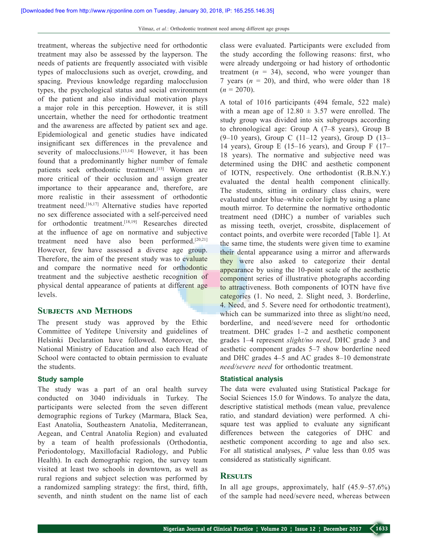treatment, whereas the subjective need for orthodontic treatment may also be assessed by the layperson. The needs of patients are frequently associated with visible types of malocclusions such as overjet, crowding, and spacing. Previous knowledge regarding malocclusion types, the psychological status and social environment of the patient and also individual motivation plays a major role in this perception. However, it is still uncertain, whether the need for orthodontic treatment and the awareness are affected by patient sex and age. Epidemiological and genetic studies have indicated insignificant sex differences in the prevalence and severity of malocclusions.<sup>[13,14]</sup> However, it has been found that a predominantly higher number of female patients seek orthodontic treatment.[15] Women are more critical of their occlusion and assign greater importance to their appearance and, therefore, are more realistic in their assessment of orthodontic treatment need.[16,17] Alternative studies have reported no sex difference associated with a self-perceived need for orthodontic treatment.<sup>[18,19]</sup> Researches directed at the influence of age on normative and subjective treatment need have also been performed.[20,21] However, few have assessed a diverse age group. Therefore, the aim of the present study was to evaluate and compare the normative need for orthodontic treatment and the subjective aesthetic recognition of physical dental appearance of patients at different age levels.

## **SUBJECTS AND METHODS**

The present study was approved by the Ethic Committee of Yeditepe University and guidelines of Helsinki Declaration have followed. Moreover, the National Ministry of Education and also each Head of School were contacted to obtain permission to evaluate the students.

#### **Study sample**

The study was a part of an oral health survey conducted on 3040 individuals in Turkey. The participants were selected from the seven different demographic regions of Turkey (Marmara, Black Sea, East Anatolia, Southeastern Anatolia, Mediterranean, Aegean, and Central Anatolia Region) and evaluated by a team of health professionals (Orthodontia, Periodontology, Maxillofacial Radiology, and Public Health). In each demographic region, the survey team visited at least two schools in downtown, as well as rural regions and subject selection was performed by a randomized sampling strategy: the first, third, fifth, seventh, and ninth student on the name list of each

class were evaluated. Participants were excluded from the study according the following reasons: first, who were already undergoing or had history of orthodontic treatment  $(n = 34)$ , second, who were younger than 7 years  $(n = 20)$ , and third, who were older than 18  $(n = 2070)$ .

A total of 1016 participants (494 female, 522 male) with a mean age of  $12.80 \pm 3.57$  were enrolled. The study group was divided into six subgroups according to chronological age: Group A (7–8 years), Group B  $(9-10 \text{ years})$ , Group C  $(11-12 \text{ years})$ , Group D  $(13-$ 14 years), Group E (15–16 years), and Group F (17– 18 years). The normative and subjective need was determined using the DHC and aesthetic component of IOTN, respectively. One orthodontist (R.B.N.Y.) evaluated the dental health component clinically. The students, sitting in ordinary class chairs, were evaluated under blue–white color light by using a plane mouth mirror. To determine the normative orthodontic treatment need (DHC) a number of variables such as missing teeth, overjet, crossbite, displacement of contact points, and overbite were recorded [Table 1]. At the same time, the students were given time to examine their dental appearance using a mirror and afterwards they were also asked to categorize their dental appearance by using the 10-point scale of the aesthetic component series of illustrative photographs according to attractiveness. Both components of IOTN have five categories (1. No need, 2. Slight need, 3. Borderline, 4. Need, and 5. Severe need for orthodontic treatment), which can be summarized into three as slight/no need. borderline, and need/severe need for orthodontic treatment. DHC grades 1–2 and aesthetic component grades 1–4 represent *slight/no need*, DHC grade 3 and aesthetic component grades 5–7 show borderline need and DHC grades 4–5 and AC grades 8–10 demonstrate *need/severe need* for orthodontic treatment.

## **Statistical analysis**

The data were evaluated using Statistical Package for Social Sciences 15.0 for Windows. To analyze the data, descriptive statistical methods (mean value, prevalence ratio, and standard deviation) were performed. A chisquare test was applied to evaluate any significant differences between the categories of DHC and aesthetic component according to age and also sex. For all statistical analyses, *P* value less than 0.05 was considered as statistically significant.

## **Results**

In all age groups, approximately, half (45.9–57.6%) of the sample had need/severe need, whereas between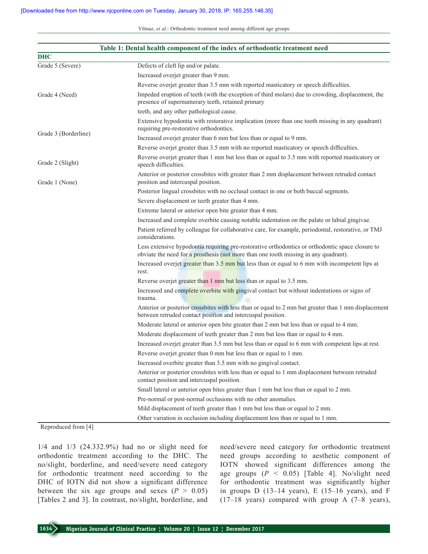|                      | Table 1: Dental health component of the index of orthodontic treatment need                                                                                                              |
|----------------------|------------------------------------------------------------------------------------------------------------------------------------------------------------------------------------------|
| <b>DHC</b>           |                                                                                                                                                                                          |
| Grade 5 (Severe)     | Defects of cleft lip and/or palate.                                                                                                                                                      |
|                      | Increased overjet greater than 9 mm.                                                                                                                                                     |
|                      | Reverse overjet greater than 3.5 mm with reported masticatory or speech difficulties.                                                                                                    |
| Grade 4 (Need)       | Impeded eruption of teeth (with the exception of third molars) due to crowding, displacement, the<br>presence of supernumerary teeth, retained primary                                   |
|                      | teeth, and any other pathological cause.                                                                                                                                                 |
|                      | Extensive hypodontia with restorative implication (more than one tooth missing in any quadrant)<br>requiring pre-restorative orthodontics.                                               |
| Grade 3 (Borderline) | Increased overjet greater than 6 mm but less than or equal to 9 mm.                                                                                                                      |
|                      | Reverse overjet greater than 3.5 mm with no reported masticatory or speech difficulties.                                                                                                 |
| Grade 2 (Slight)     | Reverse overjet greater than 1 mm but less than or equal to 3.5 mm with reported masticatory or<br>speech difficulties.                                                                  |
| Grade 1 (None)       | Anterior or posterior crossbites with greater than 2 mm displacement between retruded contact<br>position and intercuspal position.                                                      |
|                      | Posterior lingual crossbites with no occlusal contact in one or both buccal segments.                                                                                                    |
|                      | Severe displacement or teeth greater than 4 mm.                                                                                                                                          |
|                      | Extreme lateral or anterior open bite greater than 4 mm.                                                                                                                                 |
|                      | Increased and complete overbite causing notable indentation on the palate or labial gingivae.                                                                                            |
|                      | Patient referred by colleague for collaborative care, for example, periodontal, restorative, or TMJ<br>considerations.                                                                   |
|                      | Less extensive hypodontia requiring pre-restorative orthodontics or orthodontic space closure to<br>obviate the need for a prosthesis (not more than one tooth missing in any quadrant). |
|                      | Increased overjet greater than $3.5$ mm but less than or equal to 6 mm with incompetent lips at<br>rest.                                                                                 |
|                      | Reverse overjet greater than 1 mm but less than or equal to 3.5 mm.                                                                                                                      |
|                      | Increased and complete overbite with gingival contact but without indentations or signs of<br>trauma.                                                                                    |
|                      | Anterior or posterior crossbites with less than or equal to 2 mm but greater than 1 mm displacement<br>between retruded contact position and intercuspal position.                       |
|                      | Moderate lateral or anterior open bite greater than 2 mm but less than or equal to 4 mm.                                                                                                 |
|                      | Moderate displacement of teeth greater than 2 mm but less than or equal to 4 mm.                                                                                                         |
|                      | Increased overjet greater than 3.5 mm but less than or equal to 6 mm with competent lips at rest.                                                                                        |
|                      | Reverse overjet greater than 0 mm but less than or equal to 1 mm.                                                                                                                        |
|                      | Increased overbite greater than 3.5 mm with no gingival contact.                                                                                                                         |
|                      | Anterior or posterior crossbites with less than or equal to 1 mm displacement between retruded<br>contact position and intercuspal position.                                             |
|                      | Small lateral or anterior open bites greater than 1 mm but less than or equal to 2 mm.                                                                                                   |
|                      | Pre-normal or post-normal occlusions with no other anomalies.                                                                                                                            |
|                      | Mild displacement of teeth greater than 1 mm but less than or equal to 2 mm.                                                                                                             |
|                      | Other variation in occlusion including displacement less than or equal to 1 mm.                                                                                                          |

#### Reproduced from [4]

1/4 and 1/3 (24.332.9%) had no or slight need for orthodontic treatment according to the DHC. The no/slight, borderline, and need/severe need category for orthodontic treatment need according to the DHC of IOTN did not show a significant difference between the six age groups and sexes  $(P > 0.05)$ [Tables 2 and 3]. In contrast, no/slight, borderline, and

need/severe need category for orthodontic treatment need groups according to aesthetic component of IOTN showed significant differences among the age groups  $(P < 0.05)$  [Table 4]. No/slight need for orthodontic treatment was significantly higher in groups D  $(13-14 \text{ years})$ , E  $(15-16 \text{ years})$ , and F (17–18 years) compared with group A (7–8 years),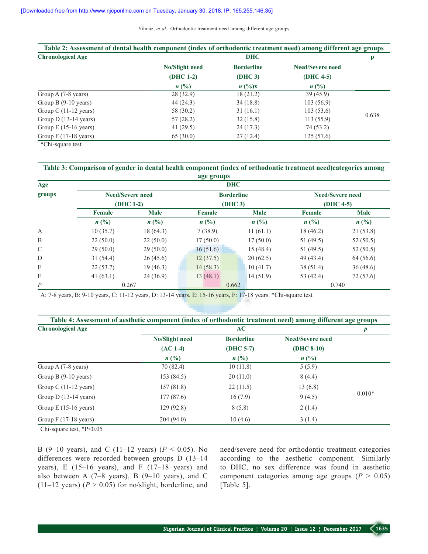| Table 2: Assessment of dental health component (index of orthodontic treatment need) among different age groups |                       |                   |                         |       |  |
|-----------------------------------------------------------------------------------------------------------------|-----------------------|-------------------|-------------------------|-------|--|
| <b>Chronological Age</b>                                                                                        | <b>DHC</b>            |                   |                         |       |  |
|                                                                                                                 | <b>No/Slight need</b> | <b>Borderline</b> | <b>Need/Severe need</b> |       |  |
|                                                                                                                 | $(DHC 1-2)$           | (DHC 3)           | $(DHC 4-5)$             |       |  |
|                                                                                                                 | $n\ (\%)$             | $n\,(^0/6)x$      | n(%)                    |       |  |
| Group A (7-8 years)                                                                                             | 28(32.9)              | 18(21.2)          | 39(45.9)                |       |  |
| Group B $(9-10 \text{ years})$                                                                                  | 44 (24.3)             | 34(18.8)          | 103(56.9)               |       |  |
| Group C $(11-12 \text{ years})$                                                                                 | 58 (30.2)             | 31(16.1)          | 103(53.6)               |       |  |
| Group $D(13-14 \text{ years})$                                                                                  | 57(28.2)              | 32(15.8)          | 113(55.9)               | 0.638 |  |
| Group $E(15-16 \text{ years})$                                                                                  | 41 $(29.5)$           | 24(17.3)          | 74 (53.2)               |       |  |
| Group $F(17-18 \text{ years})$                                                                                  | 65(30.0)              | 27(12.4)          | 125(57.6)               |       |  |

\*Chi-square test

#### **Table 3: Comparison of gender in dental health component (index of orthodontic treatment need)categories among age groups**

| Age           |                                      |          |                              | <b>DHC</b>                  |          |                                        |           |
|---------------|--------------------------------------|----------|------------------------------|-----------------------------|----------|----------------------------------------|-----------|
| groups        | <b>Need/Severe need</b><br>(DHC 1-2) |          | <b>Borderline</b><br>(DHC 3) |                             |          | <b>Need/Severe need</b><br>$(DHC 4-5)$ |           |
|               |                                      |          |                              |                             |          |                                        |           |
|               | $n(^{0}/_{0})$                       |          | $n(^{0}/_{0})$               | $n\left(\frac{0}{0}\right)$ |          |                                        |           |
|               | A                                    | 10(35.7) | 18(64.3)                     | 7(38.9)                     |          | 11(61.1)                               | 18 (46.2) |
| B             | 22(50.0)                             | 22(50.0) | 17(50.0)                     |                             | 17(50.0) | 51 (49.5)                              | 52(50.5)  |
| $\mathcal{C}$ | 29(50.0)                             | 29(50.0) | 16(51.6)                     |                             | 15(48.4) | 51 (49.5)                              | 52(50.5)  |
| D             | 31(54.4)                             | 26(45.6) | 12(37.5)                     |                             | 20(62.5) | 49 (43.4)                              | 64 (56.6) |
| E             | 22(53.7)                             | 19(46.3) | 14(58.3)                     |                             | 10(41.7) | 38 (51.4)                              | 36(48.6)  |
| F             | 41(63.1)                             | 24(36.9) | 13(48.1)                     |                             | 14(51.9) | 53 (42.4)                              | 72(57.6)  |
| P             |                                      | 0.267    |                              | 0.662                       |          |                                        | 0.740     |

A: 7-8 years, B: 9-10 years, C: 11-12 years, D: 13-14 years, E: 15-16 years, F: 17-18 years. \*Chi-square test

| Table 4: Assessment of aesthetic component (index of orthodontic treatment need) among different age groups |                |                   |                         |          |  |
|-------------------------------------------------------------------------------------------------------------|----------------|-------------------|-------------------------|----------|--|
| <b>Chronological Age</b>                                                                                    | AC             |                   |                         |          |  |
|                                                                                                             | No/Slight need | <b>Borderline</b> | <b>Need/Severe need</b> |          |  |
|                                                                                                             | $(AC 1-4)$     | $(DHC 5-7)$       | $(DHC 8-10)$            |          |  |
|                                                                                                             | $n$ (%)        | n(%)              | $n(^{0}/_{0})$          |          |  |
| Group A (7-8 years)                                                                                         | 70 (82.4)      | 10(11.8)          | 5(5.9)                  |          |  |
| Group B $(9-10 \text{ years})$                                                                              | 153 (84.5)     | 20(11.0)          | 8(4.4)                  |          |  |
| Group C $(11-12 \text{ years})$                                                                             | 157(81.8)      | 22(11.5)          | 13(6.8)                 |          |  |
| Group $D(13-14 \text{ years})$                                                                              | 177(87.6)      | 16(7.9)           | 9(4.5)                  | $0.010*$ |  |
| Group $E(15-16 \text{ years})$                                                                              | 129(92.8)      | 8(5.8)            | 2(1.4)                  |          |  |
| Group $F(17-18 \text{ years})$                                                                              | 204(94.0)      | 10(4.6)           | 3(1.4)                  |          |  |

Chi-square test, \*P<0.05

B (9–10 years), and C (11–12 years) (*P* < 0.05). No differences were recorded between groups D (13–14 years), E (15–16 years), and F (17–18 years) and also between A  $(7-8$  years), B  $(9-10$  years), and C (11–12 years) ( $P > 0.05$ ) for no/slight, borderline, and

need/severe need for orthodontic treatment categories according to the aesthetic component. Similarly to DHC, no sex difference was found in aesthetic component categories among age groups  $(P > 0.05)$ [Table 5].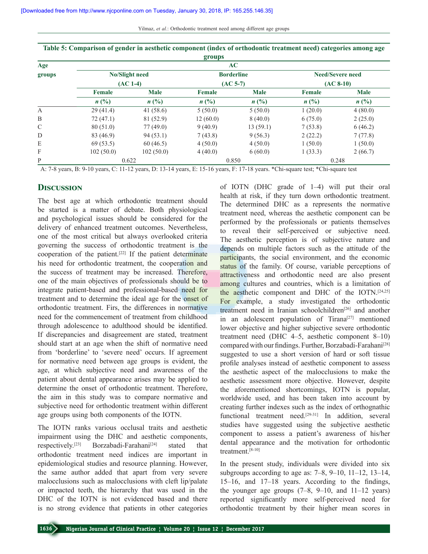|               |                                 |                | groups        |                   |                |                                            |
|---------------|---------------------------------|----------------|---------------|-------------------|----------------|--------------------------------------------|
| Age<br>groups |                                 |                |               | AC                |                |                                            |
|               |                                 | No/Slight need |               | <b>Borderline</b> |                | <b>Need/Severe need</b>                    |
|               | $(AC 1-4)$                      |                | $(AC 5-7)$    |                   | $(AC 8-10)$    |                                            |
|               | <b>Female</b><br>$n(^{0}/_{0})$ | <b>Male</b>    | <b>Female</b> | <b>Male</b>       | Female         | <b>Male</b><br>$n\left(\frac{0}{0}\right)$ |
|               |                                 | $n(^{0}/_{0})$ | $n$ (%)       | $n(^{0}/_{0})$    | $n(^{0}/_{0})$ |                                            |
| А             | 29(41.4)                        | 41(58.6)       | 5(50.0)       | 5(50.0)           | 1(20.0)        | 4(80.0)                                    |
| B             | 72(47.1)                        | 81 (52.9)      | 12(60.0)      | 8(40.0)           | 6(75.0)        | 2(25.0)                                    |
| $\mathcal{C}$ | 80(51.0)                        | 77(49.0)       | 9(40.9)       | 13(59.1)          | 7(53.8)        | 6(46.2)                                    |
| D             | 83 (46.9)                       | 94(53.1)       | 7(43.8)       | 9(56.3)           | 2(22.2)        | 7(77.8)                                    |
| E             | 69(53.5)                        | 60(46.5)       | 4(50.0)       | 4(50.0)           | 1(50.0)        | 1(50.0)                                    |
| F             | 102(50.0)                       | 102(50.0)      | 4(40.0)       | 6(60.0)           | 1(33.3)        | 2(66.7)                                    |
| P             |                                 | 0.622          |               | 0.850             |                | 0.248                                      |
|               | ___<br>------                   | _ _ _ _        |               | .                 |                |                                            |

**Table 5: Comparison of gender in aesthetic component (index of orthodontic treatment need) categories among age** 

A: 7-8 years, B: 9-10 years, C: 11-12 years, D: 13-14 years, E: 15-16 years, F: 17-18 years. \*Chi-square test; \*Chi-square test

## **Discussion**

The best age at which orthodontic treatment should be started is a matter of debate. Both physiological and psychological issues should be considered for the delivery of enhanced treatment outcomes. Nevertheless, one of the most critical but always overlooked criteria governing the success of orthodontic treatment is the cooperation of the patient.[22] If the patient determinate his need for orthodontic treatment, the cooperation and the success of treatment may be increased. Therefore, one of the main objectives of professionals should be to integrate patient-based and professional-based need for treatment and to determine the ideal age for the onset of orthodontic treatment. Firs, the differences in normative need for the commencement of treatment from childhood through adolescence to adulthood should be identified. If discrepancies and disagreement are stated, treatment should start at an age when the shift of normative need from 'borderline' to 'severe need' occurs. If agreement for normative need between age groups is evident, the age, at which subjective need and awareness of the patient about dental appearance arises may be applied to determine the onset of orthodontic treatment. Therefore, the aim in this study was to compare normative and subjective need for orthodontic treatment within different age groups using both components of the IOTN.

The IOTN ranks various occlusal traits and aesthetic impairment using the DHC and aesthetic components, respectively.<sup>[23]</sup> Borzabadi-Farahani<sup>[24]</sup> stated that orthodontic treatment need indices are important in epidemiological studies and resource planning. However, the same author added that apart from very severe malocclusions such as malocclusions with cleft lip/palate or impacted teeth, the hierarchy that was used in the DHC of the IOTN is not evidenced based and there is no strong evidence that patients in other categories of IOTN (DHC grade of 1–4) will put their oral health at risk, if they turn down orthodontic treatment. The determined DHC as a represents the normative treatment need, whereas the aesthetic component can be performed by the professionals or patients themselves to reveal their self-perceived or subjective need. The aesthetic perception is of subjective nature and depends on multiple factors such as the attitude of the participants, the social environment, and the economic status of the family. Of course, variable perceptions of attractiveness and orthodontic need are also present among cultures and countries, which is a limitation of the aesthetic component and DHC of the IOTN.<sup>[24,25]</sup> For example, a study investigated the orthodontic treatment need in Iranian schoolchildren $[26]$  and another in an adolescent population of Tirana<sup>[27]</sup> mentioned lower objective and higher subjective severe orthodontic treatment need (DHC 4–5, aesthetic component 8–10) compared with our findings. Further, Borzabadi-Farahani<sup>[28]</sup> suggested to use a short version of hard or soft tissue profile analyses instead of aesthetic component to assess the aesthetic aspect of the malocclusions to make the aesthetic assessment more objective. However, despite the aforementioned shortcomings, IOTN is popular, worldwide used, and has been taken into account by creating further indexes such as the index of orthognathic functional treatment need.<sup>[29-31]</sup> In addition, several studies have suggested using the subjective aesthetic component to assess a patient's awareness of his/her dental appearance and the motivation for orthodontic treatment.[8-10]

In the present study, individuals were divided into six subgroups according to age as:  $7-8$ ,  $9-10$ ,  $11-12$ ,  $13-14$ , 15–16, and 17–18 years. According to the findings, the younger age groups  $(7-8, 9-10, 11-12)$  years) reported significantly more self-perceived need for orthodontic treatment by their higher mean scores in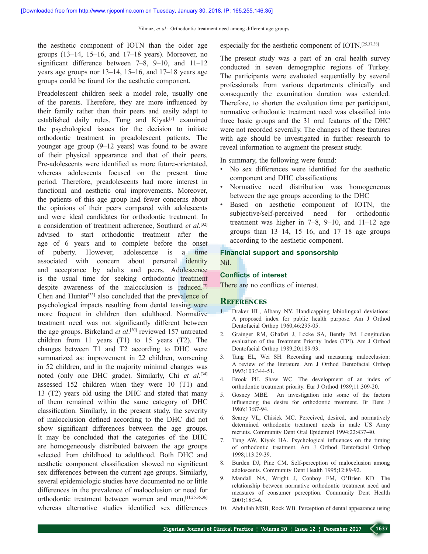the aesthetic component of IOTN than the older age groups (13–14, 15–16, and 17–18 years). Moreover, no significant difference between 7–8, 9–10, and 11–12 years age groups nor 13–14, 15–16, and 17–18 years age groups could be found for the aesthetic component.

Preadolescent children seek a model role, usually one of the parents. Therefore, they are more influenced by their family rather then their peers and easily adapt to established daily rules. Tung and  $Kivak^{[7]}$  examined the psychological issues for the decision to initiate orthodontic treatment in preadolescent patients. The younger age group (9–12 years) was found to be aware of their physical appearance and that of their peers. Pre-adolescents were identified as more future-orientated, whereas adolescents focused on the present time period. Therefore, preadolescents had more interest in functional and aesthetic oral improvements. Moreover, the patients of this age group had fewer concerns about the opinions of their peers compared with adolescents and were ideal candidates for orthodontic treatment. In a consideration of treatment adherence, Southard et al.<sup>[32]</sup> advised to start orthodontic treatment after the age of 6 years and to complete before the onset of puberty. However, adolescence is a time associated with concern about personal identity and acceptance by adults and peers. Adolescence is the usual time for seeking orthodontic treatment despite awareness of the malocclusion is reduced.<sup>[7]</sup> Chen and Hunter<sup>[33]</sup> also concluded that the prevalence of psychological impacts resulting from dental teasing were more frequent in children than adulthood. Normative treatment need was not significantly different between the age groups. Birkeland *et al*. [20] reviewed 157 untreated children from 11 years (T1) to 15 years (T2). The changes between T1 and T2 according to DHC were summarized as: improvement in 22 children, worsening in 52 children, and in the majority minimal changes was noted (only one DHC grade). Similarly, Chi *et al.*[34] assessed 152 children when they were 10 (T1) and 13 (T2) years old using the DHC and stated that many of them remained within the same category of DHC classification. Similarly, in the present study, the severity of malocclusion defined according to the DHC did not show significant differences between the age groups. It may be concluded that the categories of the DHC are homogeneously distributed between the age groups selected from childhood to adulthood. Both DHC and aesthetic component classification showed no significant sex differences between the current age groups. Similarly, several epidemiologic studies have documented no or little differences in the prevalence of malocclusion or need for orthodontic treatment between women and men,[11,26,35,36] whereas alternative studies identified sex differences

especially for the aesthetic component of IOTN.[25,37,38]

The present study was a part of an oral health survey conducted in seven demographic regions of Turkey. The participants were evaluated sequentially by several professionals from various departments clinically and consequently the examination duration was extended. Therefore, to shorten the evaluation time per participant, normative orthodontic treatment need was classified into three basic groups and the 31 oral features of the DHC were not recorded severally. The changes of these features with age should be investigated in further research to reveal information to augment the present study.

In summary, the following were found:

- No sex differences were identified for the aesthetic component and DHC classifications
- Normative need distribution was homogeneous between the age groups according to the DHC
- Based on aesthetic component of IOTN, the subjective/self-perceived need for orthodontic treatment was higher in 7–8, 9–10, and 11–12 age groups than  $13-14$ ,  $15-16$ , and  $17-18$  age groups according to the aesthetic component.

#### **Financial support and sponsorship** Nil.

#### **Conflicts of interest**

There are no conflicts of interest.

#### **References**

- 1. Draker HL, Albany NY. Handicapping labiolingual deviations: A proposed index for public health purpose. Am J Orthod Dentofacial Orthop 1960;46:295-05.
- 2. Grainger RM, Ghafari J, Locke SA, Bently JM. Longitudian evaluation of the Treatment Priority Index (TPI). Am J Orthod Dentofacial Orthop 1989;20:189-93.
- 3. Tang EL, Wei SH. Recording and measuring malocclusion: A review of the literature. Am J Orthod Dentofacial Orthop 1993;103:344-51.
- 4. Brook PH, Shaw WC. The development of an index of orthodontic treatment priority. Eur J Orthod 1989;11:309-20.
- 5. Gosney MBE. An investigation into some of the factors influencing the desire for orthodontic treatment. Br Dent J 1986;13:87-94.
- 6. Searcy VL, Chisick MC. Perceived, desired, and normatively determined orthodontic treatment needs in male US Army recruits. Community Dent Oral Epidemiol 1994;22:437-40.
- 7. Tung AW, Kiyak HA. Psychological influences on the timing of orthodontic treatment. Am J Orthod Dentofacial Orthop 1998;113:29-39.
- 8. Burden DJ, Pine CM. Self-perception of malocclusion among adoloscents. Community Dent Health 1995;12:89-92.
- 9. Mandall NA, Wright J, Conboy FM, O'Brien KD. The relationship between normative orthodontic treatment need and measures of consumer perception. Community Dent Health 2001;18:3-6.
- 10. Abdullah MSB, Rock WB. Perception of dental appearance using